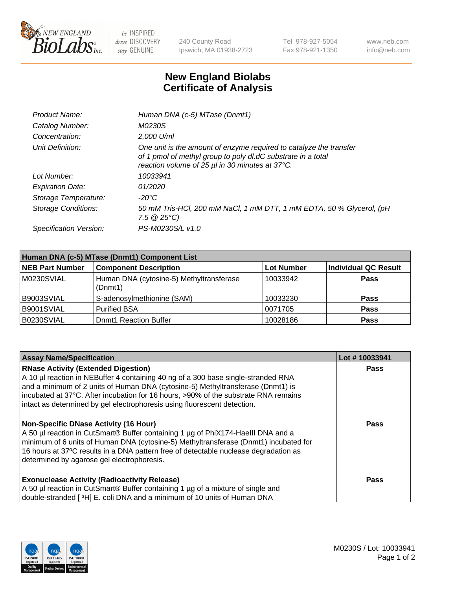

 $be$  INSPIRED drive DISCOVERY stay GENUINE

240 County Road Ipswich, MA 01938-2723 Tel 978-927-5054 Fax 978-921-1350 www.neb.com info@neb.com

## **New England Biolabs Certificate of Analysis**

| Product Name:              | Human DNA (c-5) MTase (Dnmt1)                                                                                                                                                         |
|----------------------------|---------------------------------------------------------------------------------------------------------------------------------------------------------------------------------------|
| Catalog Number:            | M0230S                                                                                                                                                                                |
| Concentration:             | 2,000 U/ml                                                                                                                                                                            |
| Unit Definition:           | One unit is the amount of enzyme required to catalyze the transfer<br>of 1 pmol of methyl group to poly dl.dC substrate in a total<br>reaction volume of 25 µl in 30 minutes at 37°C. |
| Lot Number:                | 10033941                                                                                                                                                                              |
| <b>Expiration Date:</b>    | 01/2020                                                                                                                                                                               |
| Storage Temperature:       | -20°C                                                                                                                                                                                 |
| <b>Storage Conditions:</b> | 50 mM Tris-HCl, 200 mM NaCl, 1 mM DTT, 1 mM EDTA, 50 % Glycerol, (pH<br>$7.5 \ @ 25^{\circ}C$                                                                                         |
| Specification Version:     | PS-M0230S/L v1.0                                                                                                                                                                      |

| Human DNA (c-5) MTase (Dnmt1) Component List |                                                     |            |                      |  |
|----------------------------------------------|-----------------------------------------------------|------------|----------------------|--|
| <b>NEB Part Number</b>                       | <b>Component Description</b>                        | Lot Number | Individual QC Result |  |
| M0230SVIAL                                   | Human DNA (cytosine-5) Methyltransferase<br>(Dnmt1) | 10033942   | <b>Pass</b>          |  |
| B9003SVIAL                                   | S-adenosylmethionine (SAM)                          | 10033230   | <b>Pass</b>          |  |
| B9001SVIAL                                   | <b>Purified BSA</b>                                 | 0071705    | <b>Pass</b>          |  |
| B0230SVIAL                                   | <b>Domt1 Reaction Buffer</b>                        | 10028186   | <b>Pass</b>          |  |

| <b>Assay Name/Specification</b>                                                                                                                                                                                                                                                                                                                                                       | Lot #10033941 |
|---------------------------------------------------------------------------------------------------------------------------------------------------------------------------------------------------------------------------------------------------------------------------------------------------------------------------------------------------------------------------------------|---------------|
| <b>RNase Activity (Extended Digestion)</b><br>A 10 µl reaction in NEBuffer 4 containing 40 ng of a 300 base single-stranded RNA<br>and a minimum of 2 units of Human DNA (cytosine-5) Methyltransferase (Dnmt1) is<br>incubated at 37°C. After incubation for 16 hours, >90% of the substrate RNA remains<br>intact as determined by gel electrophoresis using fluorescent detection. | Pass          |
| <b>Non-Specific DNase Activity (16 Hour)</b><br>A 50 µl reaction in CutSmart® Buffer containing 1 µg of PhiX174-Haelll DNA and a<br>minimum of 6 units of Human DNA (cytosine-5) Methyltransferase (Dnmt1) incubated for<br>16 hours at 37°C results in a DNA pattern free of detectable nuclease degradation as<br>determined by agarose gel electrophoresis.                        | Pass          |
| <b>Exonuclease Activity (Radioactivity Release)</b><br>A 50 µl reaction in CutSmart® Buffer containing 1 µg of a mixture of single and<br>double-stranded [3H] E. coli DNA and a minimum of 10 units of Human DNA                                                                                                                                                                     | <b>Pass</b>   |